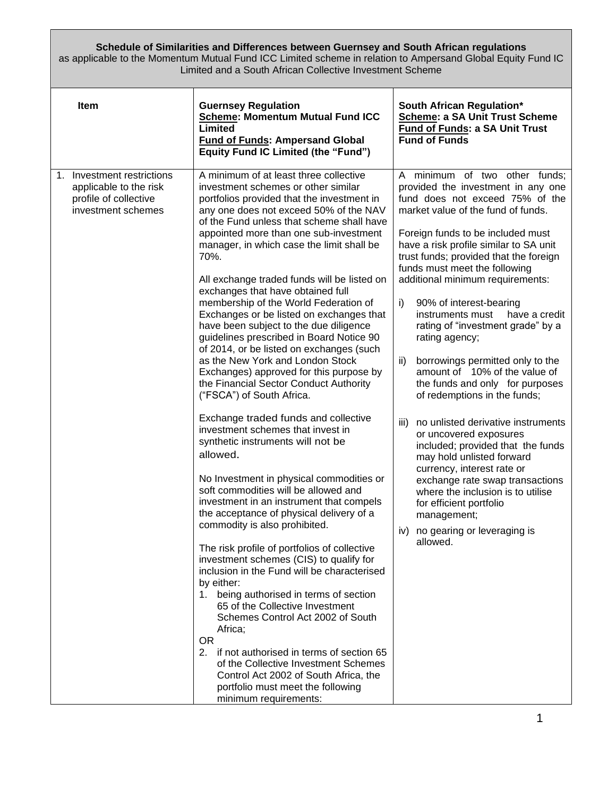## **Schedule of Similarities and Differences between Guernsey and South African regulations**

as applicable to the Momentum Mutual Fund ICC Limited scheme in relation to Ampersand Global Equity Fund IC Limited and a South African Collective Investment Scheme

| <b>Item</b>                                                                                            | <b>Guernsey Regulation</b><br><b>Scheme: Momentum Mutual Fund ICC</b><br>Limited<br><b>Fund of Funds: Ampersand Global</b><br><b>Equity Fund IC Limited (the "Fund")</b>                                                                                                                                                                                                                                                                                                                                                                                                                                                                                                                                                                                                                                                                                                                                                                                                                                                                                                                                                                                                                                                                                                                                                                                                                                                                                                                                                                                                                                                       | <b>South African Regulation*</b><br>Scheme: a SA Unit Trust Scheme<br>Fund of Funds: a SA Unit Trust<br><b>Fund of Funds</b>                                                                                                                                                                                                                                                                                                                                                                                                                                                                                                                                                                                                                                                                                                                                                                                                                                       |
|--------------------------------------------------------------------------------------------------------|--------------------------------------------------------------------------------------------------------------------------------------------------------------------------------------------------------------------------------------------------------------------------------------------------------------------------------------------------------------------------------------------------------------------------------------------------------------------------------------------------------------------------------------------------------------------------------------------------------------------------------------------------------------------------------------------------------------------------------------------------------------------------------------------------------------------------------------------------------------------------------------------------------------------------------------------------------------------------------------------------------------------------------------------------------------------------------------------------------------------------------------------------------------------------------------------------------------------------------------------------------------------------------------------------------------------------------------------------------------------------------------------------------------------------------------------------------------------------------------------------------------------------------------------------------------------------------------------------------------------------------|--------------------------------------------------------------------------------------------------------------------------------------------------------------------------------------------------------------------------------------------------------------------------------------------------------------------------------------------------------------------------------------------------------------------------------------------------------------------------------------------------------------------------------------------------------------------------------------------------------------------------------------------------------------------------------------------------------------------------------------------------------------------------------------------------------------------------------------------------------------------------------------------------------------------------------------------------------------------|
| Investment restrictions<br>1.<br>applicable to the risk<br>profile of collective<br>investment schemes | A minimum of at least three collective<br>investment schemes or other similar<br>portfolios provided that the investment in<br>any one does not exceed 50% of the NAV<br>of the Fund unless that scheme shall have<br>appointed more than one sub-investment<br>manager, in which case the limit shall be<br>70%.<br>All exchange traded funds will be listed on<br>exchanges that have obtained full<br>membership of the World Federation of<br>Exchanges or be listed on exchanges that<br>have been subject to the due diligence<br>guidelines prescribed in Board Notice 90<br>of 2014, or be listed on exchanges (such<br>as the New York and London Stock<br>Exchanges) approved for this purpose by<br>the Financial Sector Conduct Authority<br>("FSCA") of South Africa.<br>Exchange traded funds and collective<br>investment schemes that invest in<br>synthetic instruments will not be<br>allowed.<br>No Investment in physical commodities or<br>soft commodities will be allowed and<br>investment in an instrument that compels<br>the acceptance of physical delivery of a<br>commodity is also prohibited.<br>The risk profile of portfolios of collective<br>investment schemes (CIS) to qualify for<br>inclusion in the Fund will be characterised<br>by either:<br>1. being authorised in terms of section<br>65 of the Collective Investment<br>Schemes Control Act 2002 of South<br>Africa;<br><b>OR</b><br>2. if not authorised in terms of section 65<br>of the Collective Investment Schemes<br>Control Act 2002 of South Africa, the<br>portfolio must meet the following<br>minimum requirements: | A minimum of two other funds;<br>provided the investment in any one<br>fund does not exceed 75% of the<br>market value of the fund of funds.<br>Foreign funds to be included must<br>have a risk profile similar to SA unit<br>trust funds; provided that the foreign<br>funds must meet the following<br>additional minimum requirements:<br>i)<br>90% of interest-bearing<br>instruments must<br>have a credit<br>rating of "investment grade" by a<br>rating agency;<br>ii)<br>borrowings permitted only to the<br>amount of 10% of the value of<br>the funds and only for purposes<br>of redemptions in the funds;<br>no unlisted derivative instruments<br>iii)<br>or uncovered exposures<br>included; provided that the funds<br>may hold unlisted forward<br>currency, interest rate or<br>exchange rate swap transactions<br>where the inclusion is to utilise<br>for efficient portfolio<br>management;<br>no gearing or leveraging is<br>iv)<br>allowed. |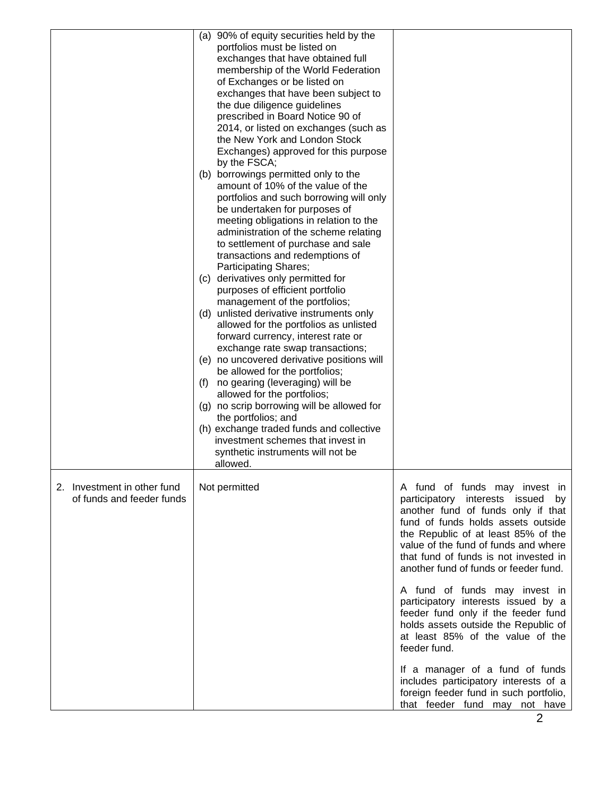|                                                          | (a) 90% of equity securities held by the<br>portfolios must be listed on<br>exchanges that have obtained full<br>membership of the World Federation<br>of Exchanges or be listed on<br>exchanges that have been subject to<br>the due diligence guidelines<br>prescribed in Board Notice 90 of<br>2014, or listed on exchanges (such as<br>the New York and London Stock<br>Exchanges) approved for this purpose<br>by the FSCA;<br>(b) borrowings permitted only to the<br>amount of 10% of the value of the<br>portfolios and such borrowing will only<br>be undertaken for purposes of<br>meeting obligations in relation to the<br>administration of the scheme relating<br>to settlement of purchase and sale<br>transactions and redemptions of<br><b>Participating Shares;</b><br>derivatives only permitted for<br>(C)<br>purposes of efficient portfolio<br>management of the portfolios;<br>(d) unlisted derivative instruments only<br>allowed for the portfolios as unlisted<br>forward currency, interest rate or<br>exchange rate swap transactions;<br>(e) no uncovered derivative positions will<br>be allowed for the portfolios;<br>no gearing (leveraging) will be<br>(f)<br>allowed for the portfolios;<br>(g) no scrip borrowing will be allowed for<br>the portfolios; and<br>(h) exchange traded funds and collective<br>investment schemes that invest in<br>synthetic instruments will not be<br>allowed. |                                                                                                                                                                                                                                                                                                                                                                                                                                                                                                                                                                                                        |
|----------------------------------------------------------|------------------------------------------------------------------------------------------------------------------------------------------------------------------------------------------------------------------------------------------------------------------------------------------------------------------------------------------------------------------------------------------------------------------------------------------------------------------------------------------------------------------------------------------------------------------------------------------------------------------------------------------------------------------------------------------------------------------------------------------------------------------------------------------------------------------------------------------------------------------------------------------------------------------------------------------------------------------------------------------------------------------------------------------------------------------------------------------------------------------------------------------------------------------------------------------------------------------------------------------------------------------------------------------------------------------------------------------------------------------------------------------------------------------------------------|--------------------------------------------------------------------------------------------------------------------------------------------------------------------------------------------------------------------------------------------------------------------------------------------------------------------------------------------------------------------------------------------------------------------------------------------------------------------------------------------------------------------------------------------------------------------------------------------------------|
| 2. Investment in other fund<br>of funds and feeder funds | Not permitted                                                                                                                                                                                                                                                                                                                                                                                                                                                                                                                                                                                                                                                                                                                                                                                                                                                                                                                                                                                                                                                                                                                                                                                                                                                                                                                                                                                                                      | A fund of funds may invest in<br>participatory interests issued by<br>another fund of funds only if that<br>fund of funds holds assets outside<br>the Republic of at least 85% of the<br>value of the fund of funds and where<br>that fund of funds is not invested in<br>another fund of funds or feeder fund.<br>A fund of funds may invest in<br>participatory interests issued by a<br>feeder fund only if the feeder fund<br>holds assets outside the Republic of<br>at least 85% of the value of the<br>feeder fund.<br>If a manager of a fund of funds<br>includes participatory interests of a |
|                                                          |                                                                                                                                                                                                                                                                                                                                                                                                                                                                                                                                                                                                                                                                                                                                                                                                                                                                                                                                                                                                                                                                                                                                                                                                                                                                                                                                                                                                                                    | foreign feeder fund in such portfolio,<br>that feeder fund may not have                                                                                                                                                                                                                                                                                                                                                                                                                                                                                                                                |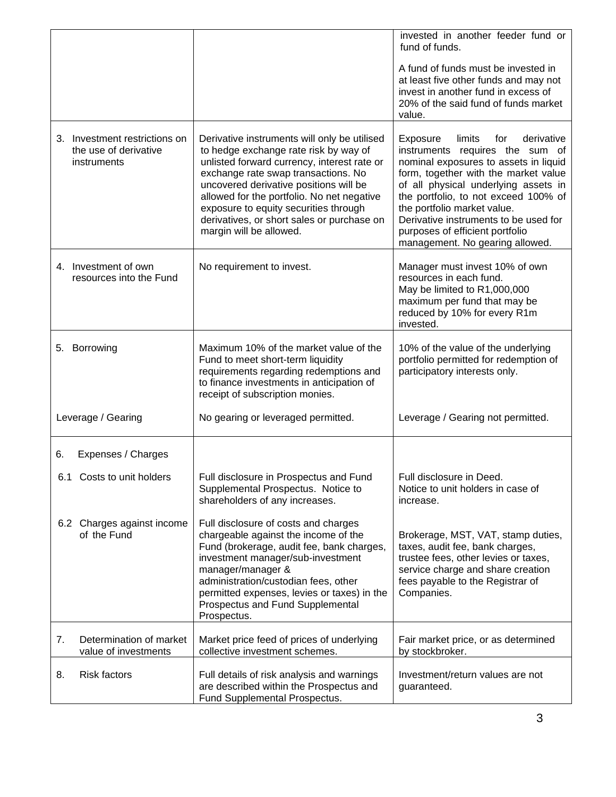|                                                                       |                                                                                                                                                                                                                                                                                                                                                                                       | invested in another feeder fund or<br>fund of funds.                                                                                                                                                                                                                                                                                                                                      |
|-----------------------------------------------------------------------|---------------------------------------------------------------------------------------------------------------------------------------------------------------------------------------------------------------------------------------------------------------------------------------------------------------------------------------------------------------------------------------|-------------------------------------------------------------------------------------------------------------------------------------------------------------------------------------------------------------------------------------------------------------------------------------------------------------------------------------------------------------------------------------------|
|                                                                       |                                                                                                                                                                                                                                                                                                                                                                                       | A fund of funds must be invested in<br>at least five other funds and may not<br>invest in another fund in excess of<br>20% of the said fund of funds market<br>value.                                                                                                                                                                                                                     |
| 3. Investment restrictions on<br>the use of derivative<br>instruments | Derivative instruments will only be utilised<br>to hedge exchange rate risk by way of<br>unlisted forward currency, interest rate or<br>exchange rate swap transactions. No<br>uncovered derivative positions will be<br>allowed for the portfolio. No net negative<br>exposure to equity securities through<br>derivatives, or short sales or purchase on<br>margin will be allowed. | Exposure<br>limits<br>for<br>derivative<br>instruments requires the sum of<br>nominal exposures to assets in liquid<br>form, together with the market value<br>of all physical underlying assets in<br>the portfolio, to not exceed 100% of<br>the portfolio market value.<br>Derivative instruments to be used for<br>purposes of efficient portfolio<br>management. No gearing allowed. |
| 4. Investment of own<br>resources into the Fund                       | No requirement to invest.                                                                                                                                                                                                                                                                                                                                                             | Manager must invest 10% of own<br>resources in each fund.<br>May be limited to R1,000,000<br>maximum per fund that may be<br>reduced by 10% for every R1m<br>invested.                                                                                                                                                                                                                    |
| 5. Borrowing                                                          | Maximum 10% of the market value of the<br>Fund to meet short-term liquidity<br>requirements regarding redemptions and<br>to finance investments in anticipation of<br>receipt of subscription monies.                                                                                                                                                                                 | 10% of the value of the underlying<br>portfolio permitted for redemption of<br>participatory interests only.                                                                                                                                                                                                                                                                              |
| Leverage / Gearing                                                    | No gearing or leveraged permitted.                                                                                                                                                                                                                                                                                                                                                    | Leverage / Gearing not permitted.                                                                                                                                                                                                                                                                                                                                                         |
| Expenses / Charges<br>6.                                              |                                                                                                                                                                                                                                                                                                                                                                                       |                                                                                                                                                                                                                                                                                                                                                                                           |
| 6.1 Costs to unit holders                                             | Full disclosure in Prospectus and Fund<br>Supplemental Prospectus. Notice to<br>shareholders of any increases.                                                                                                                                                                                                                                                                        | Full disclosure in Deed.<br>Notice to unit holders in case of<br>increase.                                                                                                                                                                                                                                                                                                                |
| 6.2 Charges against income<br>of the Fund                             | Full disclosure of costs and charges<br>chargeable against the income of the<br>Fund (brokerage, audit fee, bank charges,<br>investment manager/sub-investment<br>manager/manager &<br>administration/custodian fees, other<br>permitted expenses, levies or taxes) in the<br>Prospectus and Fund Supplemental<br>Prospectus.                                                         | Brokerage, MST, VAT, stamp duties,<br>taxes, audit fee, bank charges,<br>trustee fees, other levies or taxes,<br>service charge and share creation<br>fees payable to the Registrar of<br>Companies.                                                                                                                                                                                      |
| Determination of market<br>7.<br>value of investments                 | Market price feed of prices of underlying<br>collective investment schemes.                                                                                                                                                                                                                                                                                                           | Fair market price, or as determined<br>by stockbroker.                                                                                                                                                                                                                                                                                                                                    |
| <b>Risk factors</b><br>8.                                             | Full details of risk analysis and warnings<br>are described within the Prospectus and<br>Fund Supplemental Prospectus.                                                                                                                                                                                                                                                                | Investment/return values are not<br>guaranteed.                                                                                                                                                                                                                                                                                                                                           |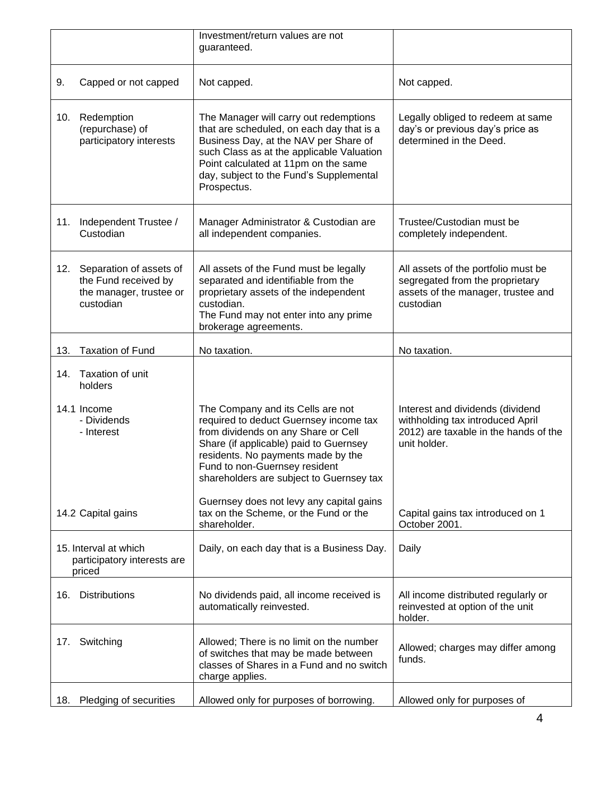|     |                                                                                         | Investment/return values are not<br>guaranteed.                                                                                                                                                                                                                                 |                                                                                                                               |
|-----|-----------------------------------------------------------------------------------------|---------------------------------------------------------------------------------------------------------------------------------------------------------------------------------------------------------------------------------------------------------------------------------|-------------------------------------------------------------------------------------------------------------------------------|
| 9.  | Capped or not capped                                                                    | Not capped.                                                                                                                                                                                                                                                                     | Not capped.                                                                                                                   |
| 10. | Redemption<br>(repurchase) of<br>participatory interests                                | The Manager will carry out redemptions<br>that are scheduled, on each day that is a<br>Business Day, at the NAV per Share of<br>such Class as at the applicable Valuation<br>Point calculated at 11pm on the same<br>day, subject to the Fund's Supplemental<br>Prospectus.     | Legally obliged to redeem at same<br>day's or previous day's price as<br>determined in the Deed.                              |
| 11. | Independent Trustee /<br>Custodian                                                      | Manager Administrator & Custodian are<br>all independent companies.                                                                                                                                                                                                             | Trustee/Custodian must be<br>completely independent.                                                                          |
| 12. | Separation of assets of<br>the Fund received by<br>the manager, trustee or<br>custodian | All assets of the Fund must be legally<br>separated and identifiable from the<br>proprietary assets of the independent<br>custodian.<br>The Fund may not enter into any prime<br>brokerage agreements.                                                                          | All assets of the portfolio must be<br>segregated from the proprietary<br>assets of the manager, trustee and<br>custodian     |
| 13. | <b>Taxation of Fund</b>                                                                 | No taxation.                                                                                                                                                                                                                                                                    | No taxation.                                                                                                                  |
| 14. | Taxation of unit<br>holders                                                             |                                                                                                                                                                                                                                                                                 |                                                                                                                               |
|     | 14.1 Income<br>- Dividends<br>- Interest                                                | The Company and its Cells are not<br>required to deduct Guernsey income tax<br>from dividends on any Share or Cell<br>Share (if applicable) paid to Guernsey<br>residents. No payments made by the<br>Fund to non-Guernsey resident<br>shareholders are subject to Guernsey tax | Interest and dividends (dividend<br>withholding tax introduced April<br>2012) are taxable in the hands of the<br>unit holder. |
|     | 14.2 Capital gains                                                                      | Guernsey does not levy any capital gains<br>tax on the Scheme, or the Fund or the<br>shareholder.                                                                                                                                                                               | Capital gains tax introduced on 1<br>October 2001.                                                                            |
|     | 15. Interval at which<br>participatory interests are<br>priced                          | Daily, on each day that is a Business Day.                                                                                                                                                                                                                                      | Daily                                                                                                                         |
| 16. | <b>Distributions</b>                                                                    | No dividends paid, all income received is<br>automatically reinvested.                                                                                                                                                                                                          | All income distributed regularly or<br>reinvested at option of the unit<br>holder.                                            |
| 17. | Switching                                                                               | Allowed; There is no limit on the number<br>of switches that may be made between<br>classes of Shares in a Fund and no switch<br>charge applies.                                                                                                                                | Allowed; charges may differ among<br>funds.                                                                                   |
| 18. | Pledging of securities                                                                  | Allowed only for purposes of borrowing.                                                                                                                                                                                                                                         | Allowed only for purposes of                                                                                                  |